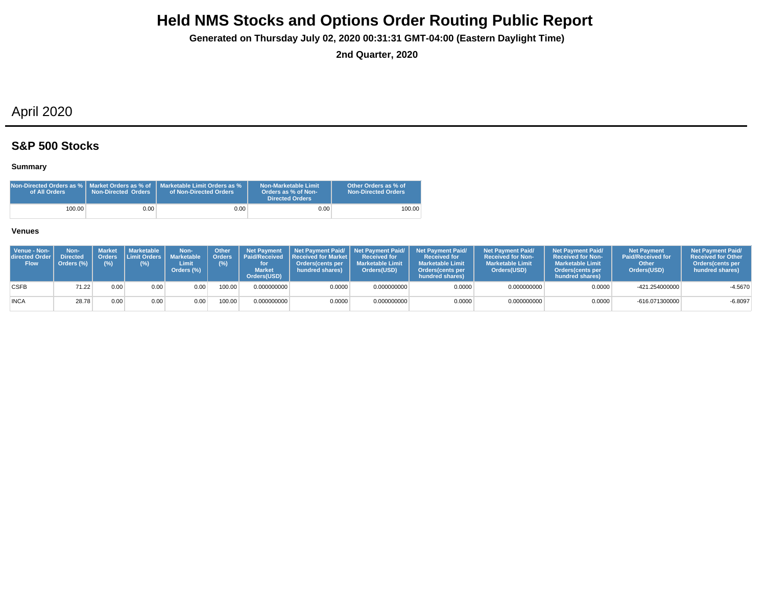**Generated on Thursday July 02, 2020 00:31:31 GMT-04:00 (Eastern Daylight Time)**

**2nd Quarter, 2020**

# April 2020

### **S&P 500 Stocks**

### **Summary**

| Non-Directed Orders as %   Market Orders as % of<br>of All Orders | <b>Non-Directed Orders</b> | Marketable Limit Orders as %<br>of Non-Directed Orders | Non-Marketable Limit<br>Orders as % of Non-<br><b>Directed Orders</b> | Other Orders as % of<br><b>Non-Directed Orders</b> |
|-------------------------------------------------------------------|----------------------------|--------------------------------------------------------|-----------------------------------------------------------------------|----------------------------------------------------|
| 100.00                                                            | 0.001                      | 0.001                                                  | 0.00                                                                  | 100.00                                             |

| Venue - Non-<br><b>directed Order I</b><br><b>Flow</b> | Non-<br><b>Directed</b><br>Orders (%) | Market<br>(%) | Marketable  <br>$(\%)$ | Non-<br>Orders Limit Orders Marketable   Orders<br>Limit<br>Orders (%) | <b>Other</b><br>(%) | <b>Market</b><br>Orders(USD) | Net Payment   Net Payment Paid/   Net Payment Paid/  <br><b>Paid/Received Received for Market I</b><br>Orders(cents per<br>hundred shares) | <b>Received for</b><br><b>Marketable Limit</b><br>Orders(USD) | <b>Net Payment Paid/</b><br><b>Received for</b><br><b>Marketable Limit</b><br><b>Orders</b> (cents per<br>hundred shares) | <b>Net Payment Paid/</b><br><b>Received for Non-</b><br><b>Marketable Limit</b><br>Orders(USD) | <b>Net Payment Paid/</b><br><b>Received for Non-</b><br><b>Marketable Limit</b><br><b>Orders</b> (cents per<br>hundred shares) | Net Payment<br><b>Paid/Received for</b><br>Other<br>Orders(USD) | <b>Net Payment Paid/</b><br><b>Received for Other</b><br>Orders(cents per<br>hundred shares) |
|--------------------------------------------------------|---------------------------------------|---------------|------------------------|------------------------------------------------------------------------|---------------------|------------------------------|--------------------------------------------------------------------------------------------------------------------------------------------|---------------------------------------------------------------|---------------------------------------------------------------------------------------------------------------------------|------------------------------------------------------------------------------------------------|--------------------------------------------------------------------------------------------------------------------------------|-----------------------------------------------------------------|----------------------------------------------------------------------------------------------|
| <b>CSFB</b>                                            | 71.22                                 | 0.00          | 0.00                   | 0.00                                                                   | 100.00              | 0.000000000                  | 0.0000                                                                                                                                     | 0.000000000                                                   | 0.0000                                                                                                                    | 0.000000000                                                                                    | 0.0000                                                                                                                         | -421.254000000                                                  | $-4.5670$                                                                                    |
| <b>INCA</b>                                            | 28.78                                 | 0.00          | 0.00                   | 0.00                                                                   | 100.00              | 0.000000000                  | 0.0000                                                                                                                                     | 0.000000000                                                   | 0.0000                                                                                                                    | 0.000000000                                                                                    | 0.0000                                                                                                                         | -616.071300000                                                  | $-6.8097$                                                                                    |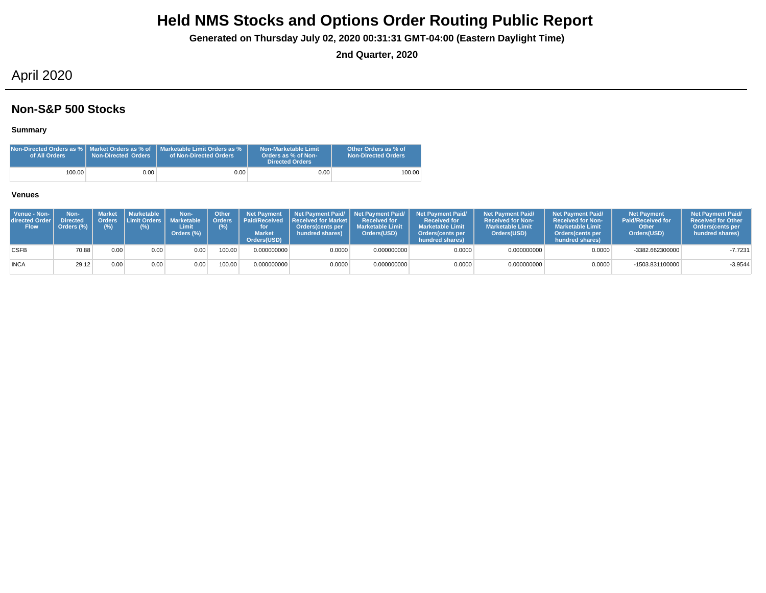**Generated on Thursday July 02, 2020 00:31:31 GMT-04:00 (Eastern Daylight Time)**

**2nd Quarter, 2020**

## April 2020

### **Non-S&P 500 Stocks**

### **Summary**

| of All Orders | <b>Non-Directed Orders</b> | <b>Non-Directed Orders as %   Market Orders as % of   Marketable Limit Orders as %</b><br>of Non-Directed Orders | Non-Marketable Limit<br>Orders as % of Non-<br><b>Directed Orders</b> | Other Orders as % of<br><b>Non-Directed Orders</b> |
|---------------|----------------------------|------------------------------------------------------------------------------------------------------------------|-----------------------------------------------------------------------|----------------------------------------------------|
| 100.00        | 0.00                       | $0.00\,$                                                                                                         | 0.00                                                                  | 100.00                                             |

| Venue - Non-<br>directed Order I<br><b>Flow</b> | Non-<br><b>Directed</b><br>Orders (%) | Orders<br>$(\%)$ | Market   Marketable<br><b>I Limit Orders I</b><br>$(\%)$ | Non-<br><b>Marketable</b><br>Limit<br>Orders (%) | <b>Other</b><br>Orders <sup>'</sup><br>(%) | <b>Net Payment</b><br><b>Market</b><br>Orders(USD) | Paid/Received Received for Market I<br><b>Orders</b> (cents per<br>hundred shares) | <b>Received for</b><br><b>Marketable Limit</b><br>Orders(USD) | Net Payment Paid/ Net Payment Paid/ Net Payment Paid/<br><b>Received for</b><br><b>Marketable Limit</b><br>Orders (cents per<br>hundred shares) | <b>Net Payment Paid/</b><br><b>Received for Non-</b><br><b>Marketable Limit</b><br>Orders(USD) | <b>Net Payment Paid/</b><br><b>Received for Non-</b><br><b>Marketable Limit</b><br><b>Orders</b> (cents per<br>hundred shares) | <b>Net Payment</b><br><b>Paid/Received for</b><br>Other<br>Orders(USD) | <b>Net Payment Paid/</b><br><b>Received for Other</b><br>Orders (cents per<br>hundred shares) |
|-------------------------------------------------|---------------------------------------|------------------|----------------------------------------------------------|--------------------------------------------------|--------------------------------------------|----------------------------------------------------|------------------------------------------------------------------------------------|---------------------------------------------------------------|-------------------------------------------------------------------------------------------------------------------------------------------------|------------------------------------------------------------------------------------------------|--------------------------------------------------------------------------------------------------------------------------------|------------------------------------------------------------------------|-----------------------------------------------------------------------------------------------|
| <b>CSFB</b>                                     | 70.88                                 | 0.00             | 0.00                                                     | 0.00                                             | 100.00                                     | 0.000000000                                        | 0.0000                                                                             | 0.000000000                                                   | 0.0000                                                                                                                                          | 0.000000000                                                                                    | 0.0000                                                                                                                         | -3382.662300000                                                        | $-7.7231$                                                                                     |
| <b>INCA</b>                                     | 29.12                                 | 0.00             | 0.00                                                     | 0.00                                             | 100.00                                     | 0.000000000                                        | 0.0000                                                                             | 0.000000000                                                   | 0.0000                                                                                                                                          | 0.000000000                                                                                    | 0.0000                                                                                                                         | -1503.831100000                                                        | $-3.9544$                                                                                     |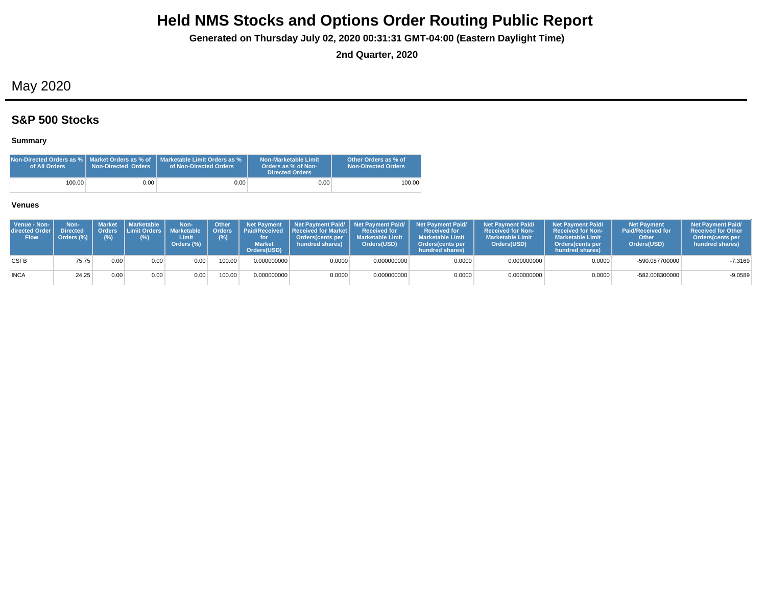**Generated on Thursday July 02, 2020 00:31:31 GMT-04:00 (Eastern Daylight Time)**

**2nd Quarter, 2020**

# May 2020

## **S&P 500 Stocks**

### **Summary**

| Non-Directed Orders as %   Market Orders as % of<br>of All Orders | Non-Directed Orders | Marketable Limit Orders as %<br>of Non-Directed Orders | Non-Marketable Limit<br>Orders as % of Non-<br><b>Directed Orders</b> | Other Orders as % of<br><b>Non-Directed Orders</b> |
|-------------------------------------------------------------------|---------------------|--------------------------------------------------------|-----------------------------------------------------------------------|----------------------------------------------------|
| 100.00                                                            | 0.001               | 0.001                                                  | 0.00                                                                  | 100.00                                             |

| Venue - Non-<br>directed Order<br><b>Flow</b> | Non-<br><b>Directed</b><br>Orders (%) | <b>Market</b><br>(%) | <b>I</b> Marketable I<br>Orders Limit Orders I<br>(%) | Non-<br><b>Marketable</b><br>Limit<br>Orders (%) | Other<br>(%) | <b>Net Payment</b><br>Orders   Paid/Received<br><b>Market</b><br>Orders(USD) | <b>Received for Market L</b><br>Orders(cents per<br>hundred shares) | Received for<br><b>Marketable Limit</b><br>Orders(USD) | Net Payment Paid/ Net Payment Paid/ Net Payment Paid/<br><b>Received for</b><br><b>Marketable Limit</b><br><b>Orders</b> (cents per<br>hundred shares) | <b>Net Payment Paid/</b><br><b>Received for Non-</b><br><b>Marketable Limit</b><br>Orders(USD) | <b>Net Payment Paid/</b><br><b>Received for Non-</b><br><b>Marketable Limit</b><br><b>Orders</b> (cents per<br>hundred shares) | <b>Net Payment</b><br><b>Paid/Received for</b><br>Other<br>Orders(USD) | <b>Net Payment Paid/</b><br><b>Received for Other</b><br><b>Orders</b> (cents per<br>hundred shares) |
|-----------------------------------------------|---------------------------------------|----------------------|-------------------------------------------------------|--------------------------------------------------|--------------|------------------------------------------------------------------------------|---------------------------------------------------------------------|--------------------------------------------------------|--------------------------------------------------------------------------------------------------------------------------------------------------------|------------------------------------------------------------------------------------------------|--------------------------------------------------------------------------------------------------------------------------------|------------------------------------------------------------------------|------------------------------------------------------------------------------------------------------|
| <b>CSFB</b>                                   | 75.75                                 | 0.00                 | 0.00                                                  | 0.00                                             | 100.00       | 0.000000000                                                                  | 0.0000                                                              | 0.000000000                                            | 0.0000                                                                                                                                                 | 0.000000000                                                                                    | 0.0000                                                                                                                         | -590.087700000                                                         | $-7.3169$                                                                                            |
| <b>INCA</b>                                   | 24.25                                 | 0.00                 | 0.00                                                  | 0.00                                             | 100.00       | 0.000000000                                                                  | 0.0000                                                              | 0.000000000                                            | 0.0000                                                                                                                                                 | 0.000000000                                                                                    | 0.0000                                                                                                                         | -582.008300000                                                         | $-9.0589$                                                                                            |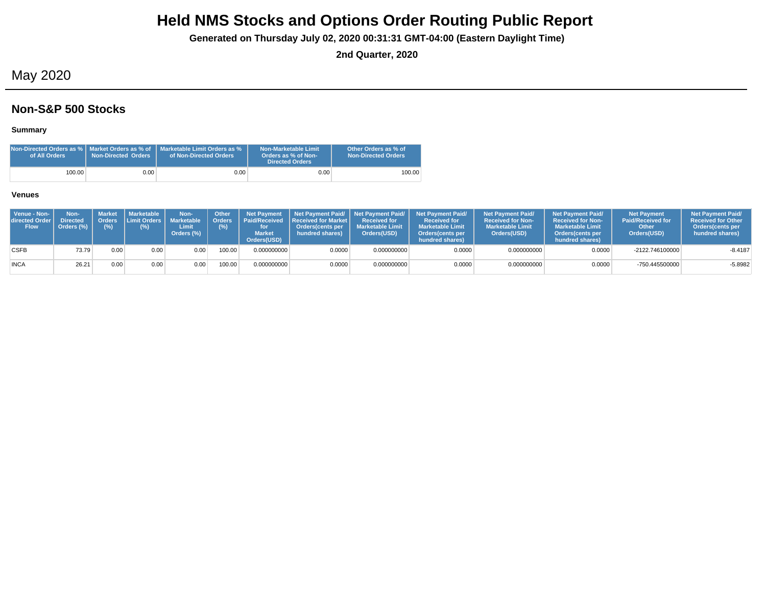**Generated on Thursday July 02, 2020 00:31:31 GMT-04:00 (Eastern Daylight Time)**

**2nd Quarter, 2020**

## May 2020

### **Non-S&P 500 Stocks**

### **Summary**

| of All Orders | <b>Non-Directed Orders</b> | <b>Non-Directed Orders as %   Market Orders as % of   Marketable Limit Orders as %</b><br>of Non-Directed Orders | Non-Marketable Limit<br>Orders as % of Non-<br><b>Directed Orders</b> | Other Orders as % of<br><b>Non-Directed Orders</b> |
|---------------|----------------------------|------------------------------------------------------------------------------------------------------------------|-----------------------------------------------------------------------|----------------------------------------------------|
| 100.00        | 0.00                       | $0.00\,$                                                                                                         | 0.00                                                                  | 100.00                                             |

| Venue - Non-<br>directed Order I<br><b>Flow</b> | Non-<br><b>Directed</b><br>Orders (%) | (%)  | ' Market I Marketable<br>Orders Limit Orders   Marketable<br>(%) | Non-<br>Limit<br>Orders (%) | Other<br>Crders <sup>1</sup><br>(%) | <b>Net Payment</b><br><b>Market</b><br>Orders(USD) | <b>Paid/Received Received for Market L</b><br>Orders(cents per<br>hundred shares) | <b>Received for</b><br><b>Marketable Limit</b><br>Orders(USD) | Net Payment Paid/ Net Payment Paid/ Net Payment Paid/<br><b>Received for</b><br><b>Marketable Limit</b><br>Orders (cents per<br>hundred shares) | <b>Net Payment Paid/</b><br><b>Received for Non-</b><br><b>Marketable Limit</b><br>Orders(USD) | <b>Net Payment Paid/</b><br><b>Received for Non-</b><br><b>Marketable Limit</b><br>Orders(cents per<br>hundred shares) | <b>Net Payment</b><br><b>Paid/Received for</b><br>Other<br>Orders(USD) | <b>Net Payment Paid/</b><br><b>Received for Other</b><br><b>Orders</b> (cents per<br>hundred shares) |
|-------------------------------------------------|---------------------------------------|------|------------------------------------------------------------------|-----------------------------|-------------------------------------|----------------------------------------------------|-----------------------------------------------------------------------------------|---------------------------------------------------------------|-------------------------------------------------------------------------------------------------------------------------------------------------|------------------------------------------------------------------------------------------------|------------------------------------------------------------------------------------------------------------------------|------------------------------------------------------------------------|------------------------------------------------------------------------------------------------------|
| <b>CSFB</b>                                     | 73.79                                 | 0.00 | 0.00                                                             | 0.00                        | 100.00                              | 0.000000000                                        | 0.0000                                                                            | 0.000000000                                                   | 0.0000                                                                                                                                          | 0.000000000                                                                                    | 0.0000                                                                                                                 | -2122.746100000                                                        | $-8.4187$                                                                                            |
| <b>INCA</b>                                     | 26.21                                 | 0.00 | 0.00                                                             | $9.00 +$                    | 100.00                              | 0.000000000                                        | 0.0000                                                                            | 0.000000000                                                   | 0.0000                                                                                                                                          | 0.000000000                                                                                    | 0.0000                                                                                                                 | -750.445500000                                                         | $-5.8982$                                                                                            |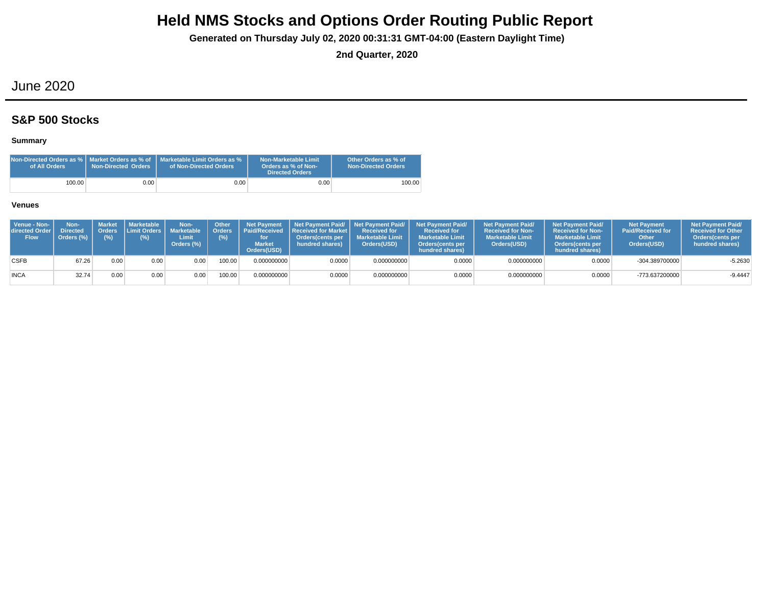**Generated on Thursday July 02, 2020 00:31:31 GMT-04:00 (Eastern Daylight Time)**

**2nd Quarter, 2020**

## June 2020

## **S&P 500 Stocks**

### **Summary**

| Non-Directed Orders as %   Market Orders as % of<br>of All Orders | Non-Directed Orders | Marketable Limit Orders as %<br>of Non-Directed Orders | Non-Marketable Limit<br>Orders as % of Non-<br><b>Directed Orders</b> | Other Orders as % of<br><b>Non-Directed Orders</b> |
|-------------------------------------------------------------------|---------------------|--------------------------------------------------------|-----------------------------------------------------------------------|----------------------------------------------------|
| 100.00                                                            | 0.001               | 0.001                                                  | 0.00                                                                  | 100.00                                             |

| Venue - Non-<br>directed Order I<br><b>Flow</b> | Non-<br><b>Directed</b><br>Orders (%) | <b>Orders</b><br>(%) | Market   Marketable<br><b>Limit Orders I</b><br>(%) | Non-<br>Marketable<br>Limit<br>Orders (%) | <b>Other</b> | <b>Net Pavment</b><br>Orders Paid/Received<br><b>Market</b><br>Orders(USD) | <b>Received for Market L</b><br>Orders(cents per<br>hundred shares) | Received for<br><b>I</b> Marketable Limit<br>Orders(USD) | Net Payment Paid/ Net Payment Paid/ Net Payment Paid/<br><b>Received for</b><br><b>Marketable Limit</b><br>Orders(cents per<br>hundred shares) | <b>Net Payment Paid/</b><br><b>Received for Non-</b><br><b>Marketable Limit</b><br>Orders(USD) | <b>Net Payment Paid/</b><br><b>Received for Non-</b><br><b>Marketable Limit</b><br><b>Orders</b> (cents per<br>hundred shares) | <b>Net Payment</b><br><b>Paid/Received for</b><br>Other<br>Orders(USD) | <b>Net Payment Paid/</b><br><b>Received for Other</b><br><b>Orders</b> (cents per<br>hundred shares) |
|-------------------------------------------------|---------------------------------------|----------------------|-----------------------------------------------------|-------------------------------------------|--------------|----------------------------------------------------------------------------|---------------------------------------------------------------------|----------------------------------------------------------|------------------------------------------------------------------------------------------------------------------------------------------------|------------------------------------------------------------------------------------------------|--------------------------------------------------------------------------------------------------------------------------------|------------------------------------------------------------------------|------------------------------------------------------------------------------------------------------|
| <b>CSFB</b>                                     | 67.26                                 | 0.00                 | 0.00                                                | 0.00                                      | 00.00        | 0.000000000                                                                | 0.0000                                                              | 0.000000000                                              | 0.0000                                                                                                                                         | 0.000000000                                                                                    | 0.0000                                                                                                                         | $-304.389700000$                                                       | $-5.2630$                                                                                            |
| <b>INCA</b>                                     | 32.74                                 | 0.00                 | 0.00                                                | 0.00 <sub>1</sub>                         | 100.00       | 0.000000000                                                                | 0.0000                                                              | 0.000000000                                              | 0.0000                                                                                                                                         | 0.000000000                                                                                    | 0.0000                                                                                                                         | -773.637200000                                                         | $-9.4447$                                                                                            |